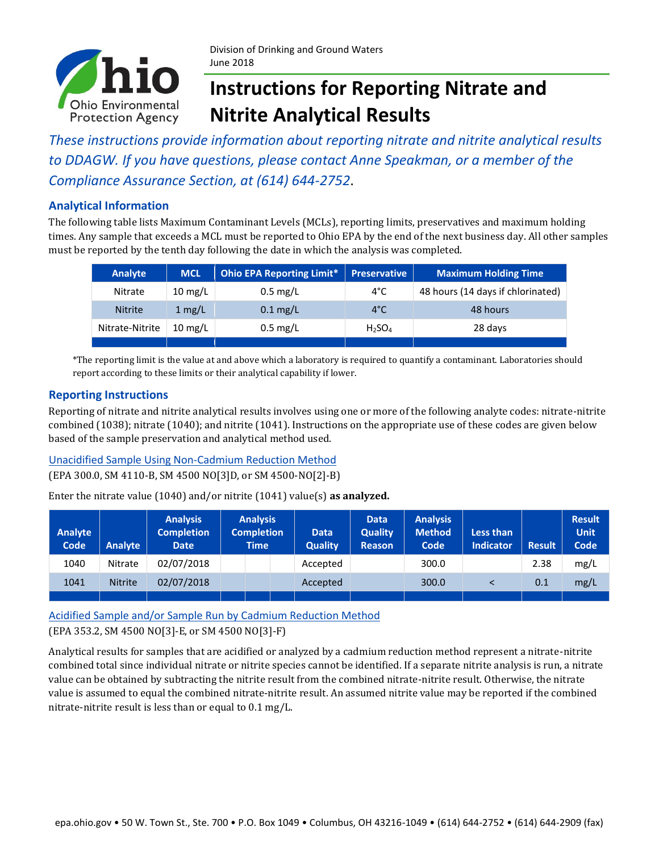

# **Instructions for Reporting Nitrate and Nitrite Analytical Results**

*These instructions provide information about reporting nitrate and nitrite analytical results to DDAGW. If you have questions, please contact Anne Speakman, or a member of the Compliance Assurance Section, at (614) 644-2752*.

#### **Analytical Information**

The following table lists Maximum Contaminant Levels (MCLs), reporting limits, preservatives and maximum holding times. Any sample that exceeds a MCL must be reported to Ohio EPA by the end of the next business day. All other samples must be reported by the tenth day following the date in which the analysis was completed.

| <b>Analyte</b>  | <b>MCL</b>        | <b>Ohio EPA Reporting Limit*</b> | <b>Preservative</b>            | <b>Maximum Holding Time</b>       |
|-----------------|-------------------|----------------------------------|--------------------------------|-----------------------------------|
| Nitrate         | $10 \text{ mg/L}$ | $0.5 \text{ mg/L}$               | 4°C                            | 48 hours (14 days if chlorinated) |
| <b>Nitrite</b>  | $1 \text{ mg/L}$  | $0.1$ mg/L                       | $4^{\circ}$ C                  | 48 hours                          |
| Nitrate-Nitrite | $10 \text{ mg/L}$ | $0.5 \text{ mg/L}$               | H <sub>2</sub> SO <sub>4</sub> | 28 days                           |
|                 |                   |                                  |                                |                                   |

\*The reporting limit is the value at and above which a laboratory is required to quantify a contaminant. Laboratories should report according to these limits or their analytical capability if lower.

#### **Reporting Instructions**

Reporting of nitrate and nitrite analytical results involves using one or more of the following analyte codes: nitrate-nitrite combined (1038); nitrate (1040); and nitrite (1041). Instructions on the appropriate use of these codes are given below based of the sample preservation and analytical method used.

#### Unacidified Sample Using Non-Cadmium Reduction Method

(EPA 300.0, SM 4110-B, SM 4500 NO[3]D, or SM 4500-NO[2]-B)

Enter the nitrate value (1040) and/or nitrite (1041) value(s) **as analyzed.**

| <b>Analyte</b><br>Code | <b>Analyte</b> | <b>Analysis</b><br><b>Completion</b><br><b>Date</b> | <b>Analysis</b><br><b>Completion</b><br><b>Time</b> | <b>Data</b><br><b>Quality</b> | <b>Data</b><br><b>Quality</b><br><b>Reason</b> | <b>Analysis</b><br><b>Method</b><br>Code | Less than<br><b>Indicator</b> | <b>Result</b> | <b>Result</b><br><b>Unit</b><br>Code |
|------------------------|----------------|-----------------------------------------------------|-----------------------------------------------------|-------------------------------|------------------------------------------------|------------------------------------------|-------------------------------|---------------|--------------------------------------|
| 1040                   | Nitrate        | 02/07/2018                                          |                                                     | Accepted                      |                                                | 300.0                                    |                               | 2.38          | mg/L                                 |
| 1041                   | <b>Nitrite</b> | 02/07/2018                                          |                                                     | Accepted                      |                                                | 300.0                                    |                               | 0.1           | mg/L                                 |
|                        |                |                                                     |                                                     |                               |                                                |                                          |                               |               |                                      |

Acidified Sample and/or Sample Run by Cadmium Reduction Method

#### (EPA 353.2, SM 4500 NO[3]-E, or SM 4500 NO[3]-F)

Analytical results for samples that are acidified or analyzed by a cadmium reduction method represent a nitrate-nitrite combined total since individual nitrate or nitrite species cannot be identified. If a separate nitrite analysis is run, a nitrate value can be obtained by subtracting the nitrite result from the combined nitrate-nitrite result. Otherwise, the nitrate value is assumed to equal the combined nitrate-nitrite result. An assumed nitrite value may be reported if the combined nitrate-nitrite result is less than or equal to 0.1 mg/L.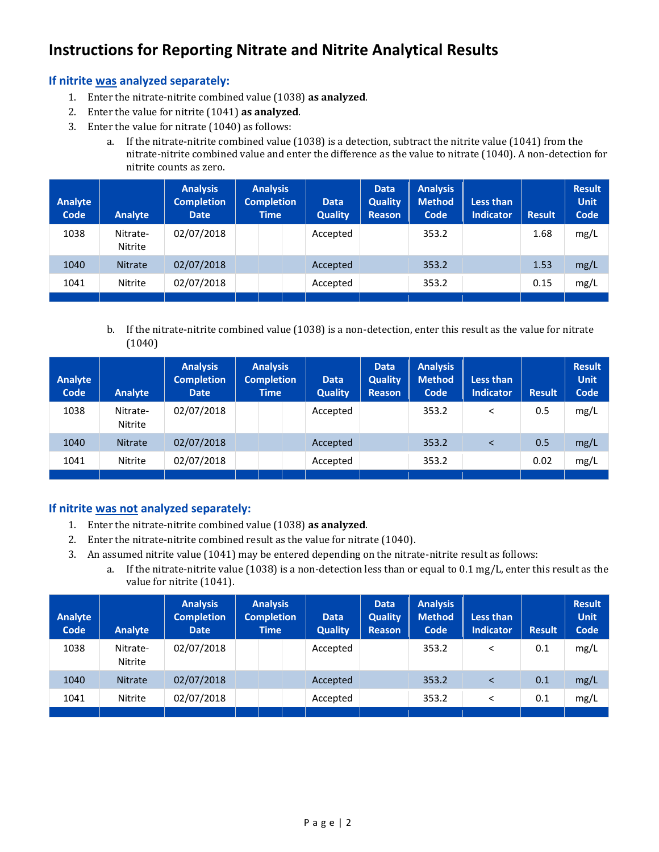# **Instructions for Reporting Nitrate and Nitrite Analytical Results**

### **If nitrite was analyzed separately:**

- 1. Enter the nitrate-nitrite combined value (1038) **as analyzed**.
- 2. Enter the value for nitrite (1041) **as analyzed**.
- 3. Enter the value for nitrate (1040) as follows:
	- a. If the nitrate-nitrite combined value (1038) is a detection, subtract the nitrite value (1041) from the nitrate-nitrite combined value and enter the difference as the value to nitrate (1040). A non-detection for nitrite counts as zero.

| <b>Analyte</b><br>Code | <b>Analyte</b>      | <b>Analysis</b><br><b>Completion</b><br><b>Date</b> | <b>Analysis</b><br><b>Completion</b><br><b>Time</b> | <b>Data</b><br><b>Quality</b> | <b>Data</b><br><b>Quality</b><br><b>Reason</b> | <b>Analysis</b><br><b>Method</b><br>Code | <b>Less than</b><br>Indicator | <b>Result</b> | <b>Result</b><br><b>Unit</b><br>Code |
|------------------------|---------------------|-----------------------------------------------------|-----------------------------------------------------|-------------------------------|------------------------------------------------|------------------------------------------|-------------------------------|---------------|--------------------------------------|
| 1038                   | Nitrate-<br>Nitrite | 02/07/2018                                          |                                                     | Accepted                      |                                                | 353.2                                    |                               | 1.68          | mg/L                                 |
| 1040                   | <b>Nitrate</b>      | 02/07/2018                                          |                                                     | Accepted                      |                                                | 353.2                                    |                               | 1.53          | mg/L                                 |
| 1041                   | <b>Nitrite</b>      | 02/07/2018                                          |                                                     | Accepted                      |                                                | 353.2                                    |                               | 0.15          | mg/L                                 |
|                        |                     |                                                     |                                                     |                               |                                                |                                          |                               |               |                                      |

b. If the nitrate-nitrite combined value (1038) is a non-detection, enter this result as the value for nitrate (1040)

| <b>Analyte</b><br>Code | <b>Analyte</b>      | <b>Analysis</b><br><b>Completion</b><br><b>Date</b> | <b>Analysis</b><br><b>Completion</b><br><b>Time</b> | <b>Data</b><br><b>Quality</b> | <b>Data</b><br><b>Quality</b><br><b>Reason</b> | <b>Analysis</b><br><b>Method</b><br>Code | <b>Less than</b><br>Indicator | <b>Result</b> | <b>Result</b><br><b>Unit</b><br>Code |
|------------------------|---------------------|-----------------------------------------------------|-----------------------------------------------------|-------------------------------|------------------------------------------------|------------------------------------------|-------------------------------|---------------|--------------------------------------|
| 1038                   | Nitrate-<br>Nitrite | 02/07/2018                                          |                                                     | Accepted                      |                                                | 353.2                                    | <                             | 0.5           | mg/L                                 |
| 1040                   | <b>Nitrate</b>      | 02/07/2018                                          |                                                     | Accepted                      |                                                | 353.2                                    |                               | 0.5           | mg/L                                 |
| 1041                   | <b>Nitrite</b>      | 02/07/2018                                          |                                                     | Accepted                      |                                                | 353.2                                    |                               | 0.02          | mg/L                                 |
|                        |                     |                                                     |                                                     |                               |                                                |                                          |                               |               |                                      |

### **If nitrite was not analyzed separately:**

- 1. Enter the nitrate-nitrite combined value (1038) **as analyzed**.
- 2. Enter the nitrate-nitrite combined result as the value for nitrate (1040).
- 3. An assumed nitrite value (1041) may be entered depending on the nitrate-nitrite result as follows:
	- a. If the nitrate-nitrite value (1038) is a non-detection less than or equal to 0.1 mg/L, enter this result as the value for nitrite (1041).

| <b>Analyte</b><br>Code | <b>Analyte</b>      | <b>Analysis</b><br><b>Completion</b><br><b>Date</b> | <b>Analysis</b><br><b>Completion</b><br><b>Time</b> | <b>Data</b><br><b>Quality</b> | <b>Data</b><br><b>Quality</b><br><b>Reason</b> | <b>Analysis</b><br><b>Method</b><br>Code | <b>Less than</b><br>Indicator | <b>Result</b> | <b>Result</b><br><b>Unit</b><br><b>Code</b> |
|------------------------|---------------------|-----------------------------------------------------|-----------------------------------------------------|-------------------------------|------------------------------------------------|------------------------------------------|-------------------------------|---------------|---------------------------------------------|
| 1038                   | Nitrate-<br>Nitrite | 02/07/2018                                          |                                                     | Accepted                      |                                                | 353.2                                    |                               | 0.1           | mg/L                                        |
| 1040                   | <b>Nitrate</b>      | 02/07/2018                                          |                                                     | Accepted                      |                                                | 353.2                                    |                               | 0.1           | mg/L                                        |
| 1041                   | <b>Nitrite</b>      | 02/07/2018                                          |                                                     | Accepted                      |                                                | 353.2                                    |                               | 0.1           | mg/L                                        |
|                        |                     |                                                     |                                                     |                               |                                                |                                          |                               |               |                                             |